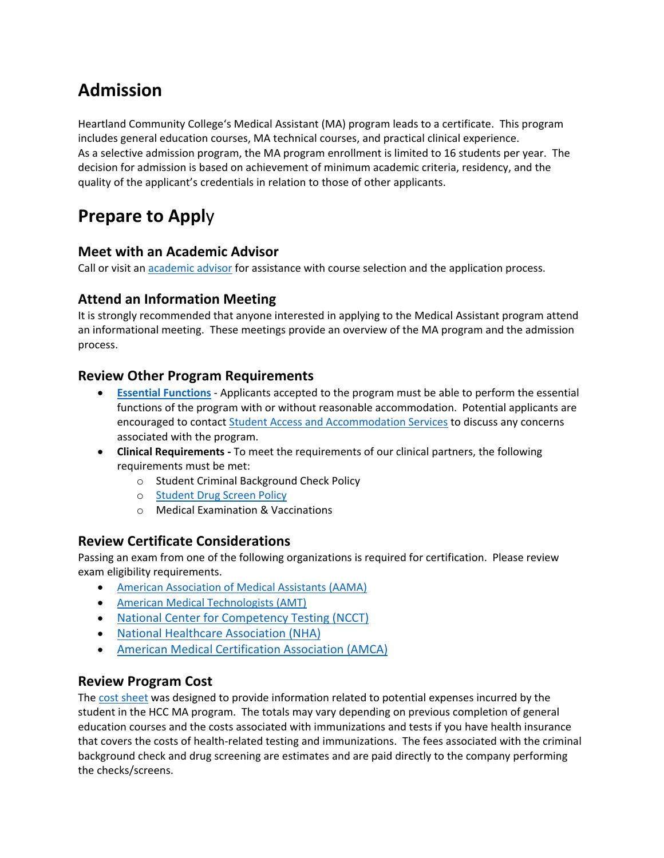## **Admission**

Heartland Community College's Medical Assistant (MA) program leads to a certificate. This program includes general education courses, MA technical courses, and practical clinical experience. As a selective admission program, the MA program enrollment is limited to 16 students per year. The decision for admission is based on achievement of minimum academic criteria, residency, and the quality of the applicant's credentials in relation to those of other applicants.

# **Prepare to Appl**y

## **Meet with an Academic Advisor**

Call or visit an **academic advisor** for assistance with course selection and the application process.

## **Attend an Information Meeting**

It is strongly recommended that anyone interested in applying to the Medical Assistant program attend an informational meeting. These meetings provide an overview of the MA program and the admission process.

### **Review Other Program Requirements**

- **[Essential Functions](https://www.heartland.edu/documents/hhs/ma/essentialFunctions.pdf)** Applicants accepted to the program must be able to perform the essential functions of the program with or without reasonable accommodation. Potential applicants are encouraged to contact [Student Access and Accommodation Services](https://www.heartland.edu/accommodations/index.html) to discuss any concerns associated with the program.
- **Clinical Requirements** To meet the requirements of our clinical partners, the following requirements must be met:
	- o Student Criminal Background Check Policy
	- o [Student Drug Screen Policy](https://www.heartland.edu/documents/hhs/ma/studentDrugScreening.pdf)
	- o Medical Examination & Vaccinations

## **Review Certificate Considerations**

Passing an exam from one of the following organizations is required for certification. Please review exam eligibility requirements.

- [American Association of Medical Assistants \(AAMA\)](http://www.aama-ntl.org/cma-aama-exam/application-steps/eligibility)
- [American Medical Technologists \(AMT\)](https://www.americanmedtech.org/)
- [National Center for Competency Testing \(NCCT\)](https://ncctinc.com/certifications/ma)
- [National Healthcare Association \(NHA\)](https://www.nhanow.com/certifications/clinical-medical-assistant)
- [American Medical Certification Association \(AMCA\)](https://www.amcaexams.com/exam-candidates/exam-eligibility-and-requirements/)

### **Review Program Cost**

The [cost sheet](https://www.heartland.edu/documents/hhs/ma/programCostSheet.pdf) was designed to provide information related to potential expenses incurred by the student in the HCC MA program. The totals may vary depending on previous completion of general education courses and the costs associated with immunizations and tests if you have health insurance that covers the costs of health-related testing and immunizations. The fees associated with the criminal background check and drug screening are estimates and are paid directly to the company performing the checks/screens.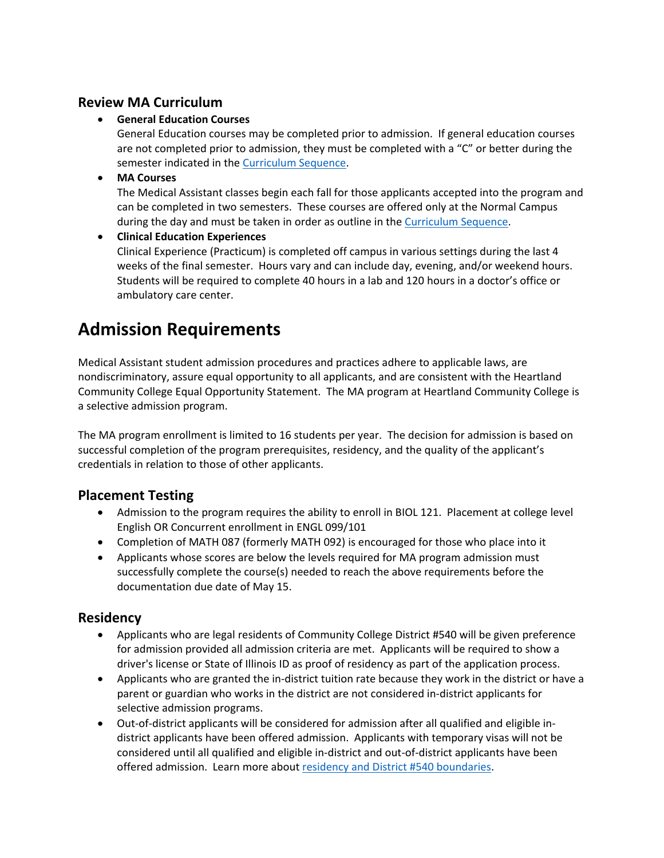## **Review MA Curriculum**

#### • **General Education Courses**

General Education courses may be completed prior to admission. If general education courses are not completed prior to admission, they must be completed with a "C" or better during the semester indicated in the [Curriculum Sequence.](https://www.heartland.edu/documents/hhs/ma/admissionInformation.pdf)

#### • **MA Courses**

The Medical Assistant classes begin each fall for those applicants accepted into the program and can be completed in two semesters. These courses are offered only at the Normal Campus during the day and must be taken in order as outline in the [Curriculum Sequence.](https://www.heartland.edu/documents/hhs/ma/admissionInformation.pdf)

#### • **Clinical Education Experiences**

Clinical Experience (Practicum) is completed off campus in various settings during the last 4 weeks of the final semester. Hours vary and can include day, evening, and/or weekend hours. Students will be required to complete 40 hours in a lab and 120 hours in a doctor's office or ambulatory care center.

## **Admission Requirements**

Medical Assistant student admission procedures and practices adhere to applicable laws, are nondiscriminatory, assure equal opportunity to all applicants, and are consistent with the Heartland Community College Equal Opportunity Statement. The MA program at Heartland Community College is a selective admission program.

The MA program enrollment is limited to 16 students per year. The decision for admission is based on successful completion of the program prerequisites, residency, and the quality of the applicant's credentials in relation to those of other applicants.

## **Placement Testing**

- Admission to the program requires the ability to enroll in BIOL 121. Placement at college level English OR Concurrent enrollment in ENGL 099/101
- Completion of MATH 087 (formerly MATH 092) is encouraged for those who place into it
- Applicants whose scores are below the levels required for MA program admission must successfully complete the course(s) needed to reach the above requirements before the documentation due date of May 15.

### **Residency**

- Applicants who are legal residents of Community College District #540 will be given preference for admission provided all admission criteria are met. Applicants will be required to show a driver's license or State of Illinois ID as proof of residency as part of the application process.
- Applicants who are granted the in-district tuition rate because they work in the district or have a parent or guardian who works in the district are not considered in-district applicants for selective admission programs.
- Out-of-district applicants will be considered for admission after all qualified and eligible indistrict applicants have been offered admission. Applicants with temporary visas will not be considered until all qualified and eligible in-district and out-of-district applicants have been offered admission. Learn more about [residency and District #540 boundaries.](https://www.heartland.edu/payingForCollege/cost/residency.html)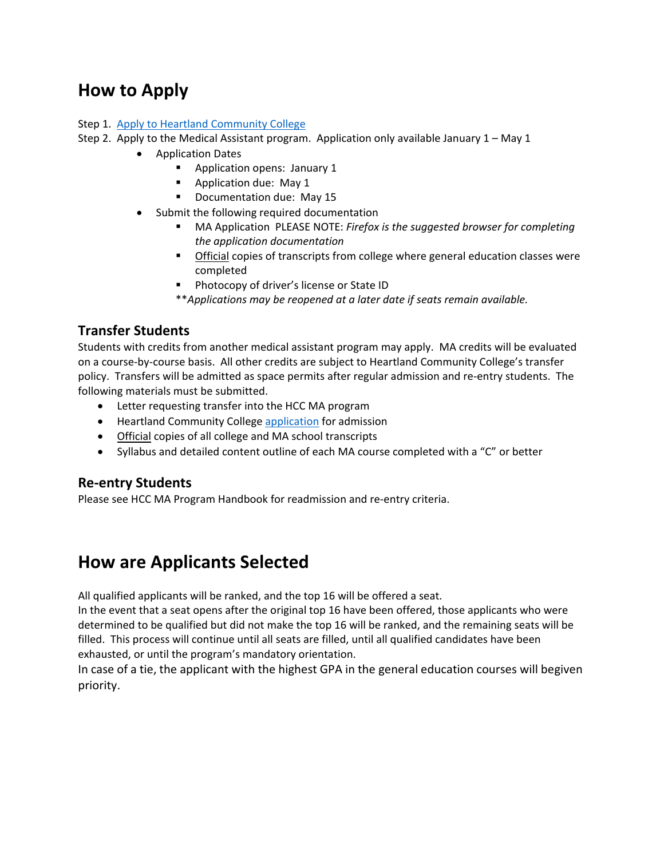## **How to Apply**

#### Step 1. [Apply to Heartland Community College](https://www.heartland.edu/application/index.html)

- Step 2. Apply to the Medical Assistant program. Application only available January 1 May 1
	- Application Dates
		- **Application opens: January 1**
		- **Application due: May 1**
		- **Documentation due: May 15**
	- Submit the following required documentation
		- MA Application PLEASE NOTE: *Firefox is the suggested browser for completing the application documentation*
		- **Official copies of transcripts from college where general education classes were** completed
		- **Photocopy of driver's license or State ID**
		- \*\**Applications may be reopened at a later date if seats remain available.*

### **Transfer Students**

Students with credits from another medical assistant program may apply. MA credits will be evaluated on a course-by-course basis. All other credits are subject to Heartland Community College's transfer policy. Transfers will be admitted as space permits after regular admission and re-entry students. The following materials must be submitted.

- Letter requesting transfer into the HCC MA program
- Heartland Community College [application](https://www.heartland.edu/application/index.html) for admission
- Official copies of all college and MA school transcripts
- Syllabus and detailed content outline of each MA course completed with a "C" or better

#### **Re-entry Students**

Please see HCC MA Program Handbook for readmission and re-entry criteria.

## **How are Applicants Selected**

All qualified applicants will be ranked, and the top 16 will be offered a seat.

In the event that a seat opens after the original top 16 have been offered, those applicants who were determined to be qualified but did not make the top 16 will be ranked, and the remaining seats will be filled. This process will continue until all seats are filled, until all qualified candidates have been exhausted, or until the program's mandatory orientation.

In case of a tie, the applicant with the highest GPA in the general education courses will begiven priority.